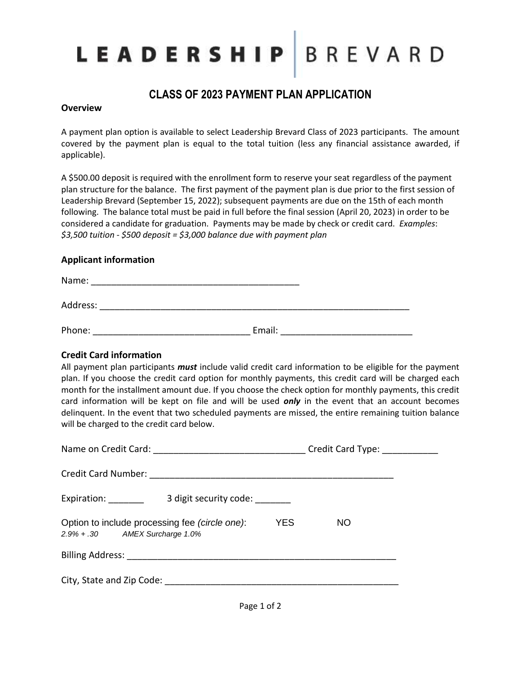# LEADERSHIP BREVARD

### **CLASS OF 2023 PAYMENT PLAN APPLICATION**

#### **Overview**

A payment plan option is available to select Leadership Brevard Class of 2023 participants. The amount covered by the payment plan is equal to the total tuition (less any financial assistance awarded, if applicable).

A \$500.00 deposit is required with the enrollment form to reserve your seat regardless of the payment plan structure for the balance. The first payment of the payment plan is due prior to the first session of Leadership Brevard (September 15, 2022); subsequent payments are due on the 15th of each month following. The balance total must be paid in full before the final session (April 20, 2023) in order to be considered a candidate for graduation. Payments may be made by check or credit card. *Examples*: *\$3,500 tuition - \$500 deposit = \$3,000 balance due with payment plan*

### **Applicant information**

| Name:    |        |  |
|----------|--------|--|
| Address: |        |  |
| Phone:   | Email: |  |

### **Credit Card information**

All payment plan participants *must* include valid credit card information to be eligible for the payment plan. If you choose the credit card option for monthly payments, this credit card will be charged each month for the installment amount due. If you choose the check option for monthly payments, this credit card information will be kept on file and will be used *only* in the event that an account becomes delinquent. In the event that two scheduled payments are missed, the entire remaining tuition balance will be charged to the credit card below.

|                                                                                  |                   | Credit Card Type: ___________ |  |
|----------------------------------------------------------------------------------|-------------------|-------------------------------|--|
| Credit Card Number:                                                              |                   |                               |  |
| Expiration: ________<br>3 digit security code:                                   |                   |                               |  |
| Option to include processing fee (circle one):<br>2.9% + .30 AMEX Surcharge 1.0% | <b>YES</b><br>NO. |                               |  |
|                                                                                  |                   |                               |  |
| City, State and Zip Code:                                                        |                   |                               |  |